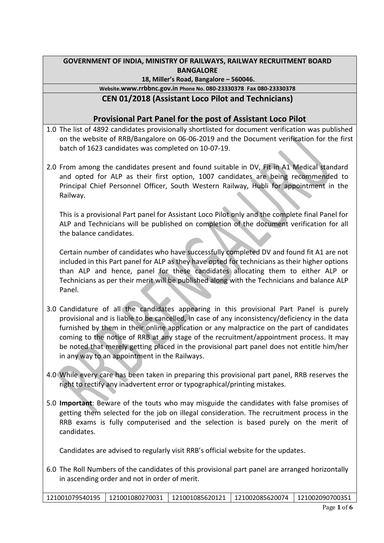## **GOVERNMENT OF INDIA, MINISTRY OF RAILWAYS, RAILWAY RECRUITMENT BOARD BANGALORE**

#### **18, Miller's Road, Bangalore – 560046.**

## **Website.www.rrbbnc.gov.in Phone No. 080-23330378 Fax 080-23330378**

# **CEN 01/2018 (Assistant Loco Pilot and Technicians)**

## **Provisional Part Panel for the post of Assistant Loco Pilot**

- 1.0 The list of 4892 candidates provisionally shortlisted for document verification was published on the website of RRB/Bangalore on 06-06-2019 and the Document verification for the first batch of 1623 candidates was completed on 10-07-19.
- 2.0 From among the candidates present and found suitable in DV, Fit in A1 Medical standard and opted for ALP as their first option, 1007 candidates are being recommended to Principal Chief Personnel Officer, South Western Railway, Hubli for appointment in the Railway.

This is a provisional Part panel for Assistant Loco Pilot only and the complete final Panel for ALP and Technicians will be published on completion of the document verification for all the balance candidates.

Certain number of candidates who have successfully completed DV and found fit A1 are not included in this Part panel for ALP as they have opted for technicians as their higher options than ALP and hence, panel for these candidates allocating them to either ALP or Technicians as per their merit will be published along with the Technicians and balance ALP Panel.

- 3.0 Candidature of all the candidates appearing in this provisional Part Panel is purely provisional and is liable to be cancelled, in case of any inconsistency/deficiency in the data furnished by them in their online application or any malpractice on the part of candidates coming to the notice of RRB at any stage of the recruitment/appointment process. It may be noted that merely getting placed in the provisional part panel does not entitle him/her in any way to an appointment in the Railways.
- 4.0 While every care has been taken in preparing this provisional part panel, RRB reserves the right to rectify any inadvertent error or typographical/printing mistakes.
- 5.0 **Important**: Beware of the touts who may misguide the candidates with false promises of getting them selected for the job on illegal consideration. The recruitment process in the RRB exams is fully computerised and the selection is based purely on the merit of candidates.

Candidates are advised to regularly visit RRB's official website for the updates.

6.0 The Roll Numbers of the candidates of this provisional part panel are arranged horizontally in ascending order and not in order of merit.

|  | 121001079540195   121001080270031   121001085620121   121002085620074   121002090700351 |  |  |  |
|--|-----------------------------------------------------------------------------------------|--|--|--|
|--|-----------------------------------------------------------------------------------------|--|--|--|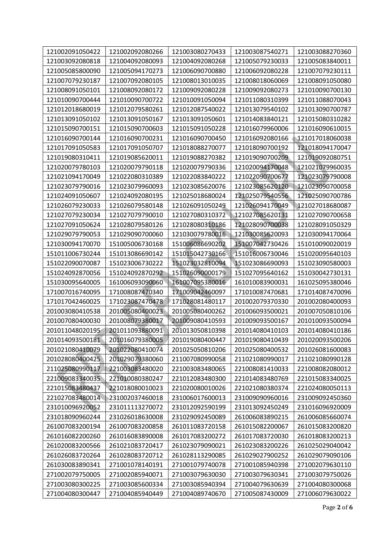| 121002091050422 | 121002092080266 | 121003080270433 | 121003087540271 | 121003088270360 |
|-----------------|-----------------|-----------------|-----------------|-----------------|
| 121003092080818 | 121004092080093 | 121004092080268 | 121005079230033 | 121005083840011 |
| 121005085800090 | 121005094170273 | 121006090700880 | 121006092080228 | 121007079230111 |
| 121007079230187 | 121007092080105 | 121008013010035 | 121008018060069 | 121008091050080 |
| 121008091050101 | 121008092080172 | 121009092080228 | 121009092080273 | 121010090700130 |
| 121010090700444 | 121010090700722 | 121010091050094 | 121011080310399 | 121011088070043 |
| 121012018680019 | 121012079580261 | 121012087540022 | 121013079540102 | 121013090700787 |
| 121013091050102 | 121013091050167 | 121013091050601 | 121014083840121 | 121015080310282 |
| 121015090700151 | 121015090700603 | 121015091050228 | 121016079960006 | 121016090610015 |
| 121016090700144 | 121016090700231 | 121016090700450 | 121016092080166 | 121017018060038 |
| 121017091050583 | 121017091050707 | 121018088270077 | 121018090700192 | 121018094170047 |
| 121019080310411 | 121019085620011 | 121019088270382 | 121019090700209 | 121019092080751 |
| 121020079780103 | 121020079790118 | 121020079790336 | 121020094170048 | 121021079960035 |
| 121021094170049 | 121022080310389 | 121022083840222 | 121022090700677 | 121023079790008 |
| 121023079790016 | 121023079960093 | 121023085620076 | 121023085620120 | 121023090700058 |
| 121024091050607 | 121024092080195 | 121025018680024 | 121025079540556 | 121025090700786 |
| 121026079230033 | 121026079580148 | 121026091050249 | 121026094170049 | 121027018680087 |
| 121027079230034 | 121027079790010 | 121027080310372 | 121027085620131 | 121027090700658 |
| 121027091050624 | 121028079580126 | 121028080310186 | 121028090700038 | 121028091050329 |
| 121029079790053 | 121029090700060 | 121030079780016 | 121030085620093 | 121030094170064 |
| 121030094170070 | 151005006730168 | 151006086690202 | 151007042730426 | 151010090020019 |
| 151011006730244 | 151013086690142 | 151015042730166 | 151016006730046 | 151020095640103 |
| 151022090070087 | 151023006730222 | 151023032810094 | 151023086690093 | 151023090580003 |
| 151024092870056 | 151024092870292 | 151026090000179 | 151027095640162 | 151030042730131 |
| 151030095640005 | 161006093090060 | 161007095380016 | 161010083900031 | 161025095380046 |
| 171007016740095 | 171008087470340 | 171009042460097 | 171010087470681 | 171014087470096 |
| 171017042460025 | 171023087470478 | 171028081480117 | 201002079370330 | 201002080400093 |
| 201003080410538 | 201005080400023 | 201005080400262 | 201006093500021 | 201007050810106 |
| 201007080400030 | 201008079380017 | 201009080410593 | 201009093500167 | 201010093500094 |
| 201011048020195 | 201011093880091 | 201013050810398 | 201014080410103 | 201014080410186 |
| 201014093500181 | 201016079380005 | 201019080400447 | 201019080410439 | 201020093500206 |
| 201021080410079 | 201022080410074 | 201025050810206 | 201025080400532 | 201026081600083 |
| 201028080400425 | 201029079380060 | 211007080990058 | 211021080990017 | 211021080990128 |
| 211025080990117 | 221003083480020 | 221003083480065 | 221008081410033 | 221008082080012 |
| 221009083340035 | 221010080380247 | 221012083480300 | 221014083480769 | 221015083340025 |
| 221015083480437 | 221018080010023 | 221020080010026 | 221021080380374 | 221024080050113 |
| 221027083480014 | 231002037460018 | 231006017600013 | 231009090960016 | 231009092450360 |
| 231010096920052 | 231011113270072 | 231012092590199 | 231013092450249 | 231016096920009 |
| 231018090960244 | 231026018630008 | 231029092450089 | 261006083890215 | 261006085660074 |
| 261007083200194 | 261007083200858 | 261011083720158 | 261015082200067 | 261015083200820 |
| 261016082200260 | 261016083890008 | 261017083200272 | 261017083720030 | 261018083200213 |
| 261020083200566 | 261021083720417 | 261023079090021 | 261023083200226 | 261025029040042 |
| 261026083720264 | 261028083720712 | 261028113290085 | 261029027900252 | 261029079090106 |
| 261030083890341 | 271001078140191 | 271001079740078 | 271001085940398 | 271002079630110 |
| 271002079750005 | 271002085940071 | 271003079630030 | 271003079630341 | 271003079750026 |
| 271003080300225 | 271003085600334 | 271003085940394 | 271004079630639 | 271004080300068 |
| 271004080300447 | 271004085940449 | 271004089740670 | 271005087430009 | 271006079630022 |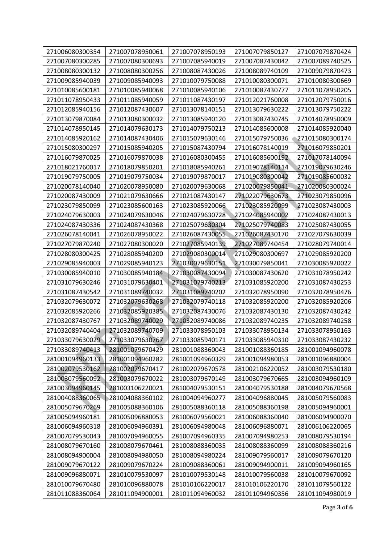| 271006080300354 | 271007078950061 | 271007078950193 | 271007079850127 | 271007079870424 |
|-----------------|-----------------|-----------------|-----------------|-----------------|
| 271007080300285 | 271007080300693 | 271007085940019 | 271007087430042 | 271007089740525 |
| 271008080300132 | 271008080300256 | 271008087430026 | 271008089740109 | 271009079870473 |
| 271009085940039 | 271009085940093 | 271010079750088 | 271010080300071 | 271010080300669 |
| 271010085600181 | 271010085940068 | 271010085940106 | 271010087430777 | 271011078950205 |
| 271011078950433 | 271011085940059 | 271011087430197 | 271012021760008 | 271012079750016 |
| 271012085940156 | 271012087430607 | 271013078140151 | 271013079630222 | 271013079750222 |
| 271013079870084 | 271013080300032 | 271013085940120 | 271013087430745 | 271014078950009 |
| 271014078950145 | 271014079630173 | 271014079750213 | 271014085600008 | 271014085920040 |
| 271014085920162 | 271014087430406 | 271015079630146 | 271015079750036 | 271015080300174 |
| 271015080300297 | 271015085940205 | 271015087430794 | 271016078140019 | 271016079850201 |
| 271016079870025 | 271016079870038 | 271016080300455 | 271016085600192 | 271017078140094 |
| 271018021760017 | 271018079850201 | 271018085940261 | 271019078140114 | 271019079630246 |
| 271019079750005 | 271019079750034 | 271019079870017 | 271019080300042 | 271019085600032 |
| 271020078140040 | 271020078950080 | 271020079630068 | 271020079850041 | 271020080300024 |
| 271020087430009 | 271021079630666 | 271021087430147 | 271022079630673 | 271023079850096 |
| 271023079850099 | 271023085600163 | 271023085920066 | 271023085920099 | 271023087430003 |
| 271024079630003 | 271024079630046 | 271024079630728 | 271024085940002 | 271024087430013 |
| 271024087430336 | 271024087430368 | 271025079630304 | 271025079740083 | 271025087430055 |
| 271026078140041 | 271026078950022 | 271026087430055 | 271026087430170 | 271027079630039 |
| 271027079870240 | 271027080300020 | 271027085940139 | 271027089740454 | 271028079740014 |
| 271028080300425 | 271028085940200 | 271029080300014 | 271029080300697 | 271029085920200 |
| 271029085940003 | 271029085940123 | 271030079630151 | 271030079850041 | 271030085920022 |
| 271030085940010 | 271030085940184 | 271030087430094 | 271030087430620 | 271031078950242 |
| 271031079630246 | 271031079630401 | 271031079740213 | 271031085920200 | 271031087430253 |
| 271031087430542 | 271031089740032 | 271031089740202 | 271032078950090 | 271032078950476 |
| 271032079630072 | 271032079630268 | 271032079740118 | 271032085920200 | 271032085920206 |
| 271032085920266 | 271032085920385 | 271032087430076 | 271032087430130 | 271032087430242 |
| 271032087430767 | 271032089740029 | 271032089740086 | 271032089740235 | 271032089740258 |
| 271032089740404 | 271032089740709 | 271033078950103 | 271033078950134 | 271033078950163 |
| 271033079630029 | 271033079630767 | 271033085940171 | 271033085940310 | 271033087430232 |
| 271033089740413 | 281001079670429 | 281001088360043 | 281001088360185 | 281001094960078 |
| 281001094960133 | 281001094960282 | 281001094960329 | 281001094980053 | 281001096880004 |
| 281002079530162 | 281002079670417 | 281002079670578 | 281002106220052 | 281003079530180 |
| 281003079560092 | 281003079670022 | 281003079670149 | 281003079670665 | 281003094960109 |
| 281003094960145 | 281003106220021 | 281004079530151 | 281004079530188 | 281004079670568 |
| 281004088360065 | 281004088360102 | 281004094960277 | 281004096880045 | 281005079560083 |
| 281005079670269 | 281005088360106 | 281005088360118 | 281005088360198 | 281005094960001 |
| 281005094960181 | 281005096880053 | 281006079560021 | 281006088360040 | 281006094900070 |
| 281006094960318 | 281006094960391 | 281006094980048 | 281006096880071 | 281006106220065 |
| 281007079530043 | 281007094960055 | 281007094960335 | 281007094980253 | 281008079530194 |
| 281008079670160 | 281008079670461 | 281008088360035 | 281008088360099 | 281008088360216 |
| 281008094900004 | 281008094980050 | 281008094980224 | 281009079560017 | 281009079670120 |
| 281009079670122 | 281009079670224 | 281009088360061 | 281009094900011 | 281009094960165 |
| 281009096880071 | 281010079530097 | 281010079530148 | 281010079560038 | 281010079670092 |
| 281010079670480 | 281010096880078 | 281010106220017 | 281010106220170 | 281011079560122 |
| 281011088360064 | 281011094900001 | 281011094960032 | 281011094960356 | 281011094980019 |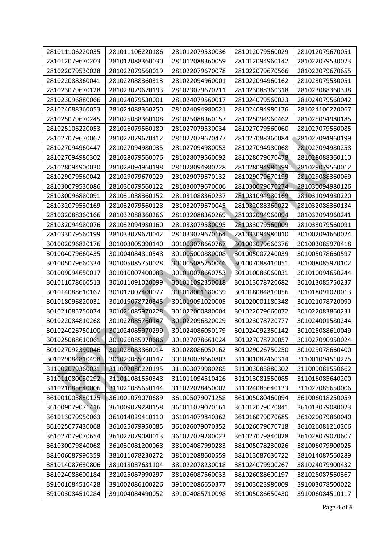| 281011106220035 | 281011106220186 | 281012079530036 | 281012079560029 | 281012079670051 |
|-----------------|-----------------|-----------------|-----------------|-----------------|
| 281012079670203 | 281012088360030 | 281012088360059 | 281012094960142 | 281022079530023 |
| 281022079530028 | 281022079560019 | 281022079670078 | 281022079670566 | 281022079670655 |
| 281022088360041 | 281022088360313 | 281022094960001 | 281022094960162 | 281023079530051 |
| 281023079670128 | 281023079670193 | 281023079670211 | 281023088360318 | 281023088360338 |
| 281023096880066 | 281024079530001 | 281024079560017 | 281024079560023 | 281024079560042 |
| 281024088360053 | 281024088360250 | 281024094980021 | 281024094980176 | 281024106220067 |
| 281025079670245 | 281025088360108 | 281025088360157 | 281025094960462 | 281025094980185 |
| 281025106220053 | 281026079560180 | 281027079530034 | 281027079560060 | 281027079560085 |
| 281027079670067 | 281027079670412 | 281027079670477 | 281027088360084 | 281027094960199 |
| 281027094960447 | 281027094980035 | 281027094980053 | 281027094980068 | 281027094980258 |
| 281027094980302 | 281028079560076 | 281028079560092 | 281028079670478 | 281028088360110 |
| 281028094900030 | 281028094960198 | 281028094980228 | 281028094980399 | 281029079560012 |
| 281029079560042 | 281029079670029 | 281029079670132 | 281029079670199 | 281029088360069 |
| 281030079530086 | 281030079560122 | 281030079670006 | 281030079670274 | 281030094980126 |
| 281030096880091 | 281031088360152 | 281031088360237 | 281031094980169 | 281031094980220 |
| 281032079530169 | 281032079560128 | 281032079670045 | 281032088360022 | 281032088360134 |
| 281032088360166 | 281032088360266 | 281032088360269 | 281032094960094 | 281032094960241 |
| 281032094980076 | 281032094980160 | 281033079530095 | 281033079560009 | 281033079560091 |
| 281033079560199 | 281033079670042 | 281033079670164 | 281033094980010 | 301002094660024 |
| 301002096820176 | 301003005090140 | 301003078660767 | 301003079660376 | 301003085970418 |
| 301004079660435 | 301004084810548 | 301005000880008 | 301005007240039 | 301005078660597 |
| 301005079660334 | 301005085750028 | 301005085750046 | 301007088410051 | 301008085970102 |
| 301009094650017 | 301010007400083 | 301010078660753 | 301010086060031 | 301010094650244 |
| 301011078660513 | 301011091020099 | 301011092350018 | 301013078720682 | 301013085750237 |
| 301014088610167 | 301017007400077 | 301018001180039 | 301018084810056 | 301018091020013 |
| 301018096820031 | 301019078720345 | 301019091020005 | 301020001180348 | 301021078720090 |
| 301021085750074 | 301021085970228 | 301022000880004 | 301022079660072 | 301022083860231 |
| 301022084810268 | 301022085760147 | 301022096820029 | 301023078720777 | 301024001580244 |
| 301024026750100 | 301024085970299 | 301024086050179 | 301024092350142 | 301025088610049 |
| 301025088610061 | 301026085970686 | 301027078661024 | 301027078720057 | 301027090950024 |
| 301027092390046 | 301028083860014 | 301028086050162 | 301029026750250 | 301029078660400 |
| 301029084810498 | 301029085730147 | 301030078660803 | 311001087460314 | 311001094510275 |
| 311002079360031 | 311002080220195 | 311003079980285 | 311003085880302 | 311009081550662 |
| 311011080030292 | 311011081550348 | 311011094510426 | 311013081550085 | 311016085640200 |
| 311021085640006 | 311021085650144 | 311022028450002 | 311024085640133 | 311027085650006 |
| 361001005830125 | 361001079070689 | 361005079071258 | 361005080460094 | 361006018250059 |
| 361009079071416 | 361009079280158 | 361011079070161 | 361012079070841 | 361013079080023 |
| 361013079950063 | 361014029410110 | 361014079840362 | 361016079070685 | 361020079860040 |
| 361025077430068 | 361025079950085 | 361026079070352 | 361026079070718 | 361026081210206 |
| 361027079070654 | 361027079080013 | 361027079280023 | 361027079840028 | 361028079070607 |
| 361030079840068 | 361030081200068 | 381004087990283 | 381005078230026 | 381006079900025 |
| 381006087990359 | 381011078230272 | 381012088600559 | 381013087630722 | 381014087560289 |
| 381014087630806 | 381018087631104 | 381022078230018 | 381024079900267 | 381024079900432 |
| 381024088600184 | 381025087990297 | 381026087560033 | 381026088600197 | 381028087560367 |
| 391001084510428 | 391002086100226 | 391002086650377 | 391003023980009 | 391003078500022 |
| 391003084510284 | 391004084490052 | 391004085710098 | 391005086650430 | 391006084510117 |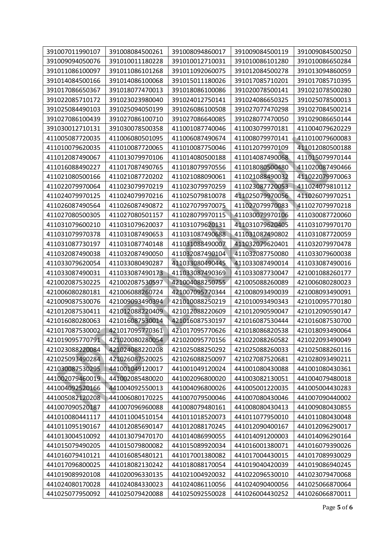| 391007011990107 | 391008084500261 | 391008094860017 | 391009084500119 | 391009084500250 |
|-----------------|-----------------|-----------------|-----------------|-----------------|
| 391009094050076 | 391010011180228 | 391010012710031 | 391010086101280 | 391010086650284 |
| 391011086100097 | 391011086101268 | 391011092060075 | 391012084500278 | 391013094860059 |
| 391014084500166 | 391014086100068 | 391015011180026 | 391017085710201 | 391017085710395 |
| 391017086650367 | 391018077470013 | 391018086100086 | 391020078500141 | 391021078500280 |
| 391022085710172 | 391023023980040 | 391024012750141 | 391024086650325 | 391025078500013 |
| 391025084490103 | 391025094050199 | 391026086100508 | 391027077470298 | 391027084500214 |
| 391027086100439 | 391027086100710 | 391027086640085 | 391028077470050 | 391029086650144 |
| 391030012710131 | 391030078500358 | 411001087740046 | 411003079970181 | 411004079620229 |
| 411005087720035 | 411006080501095 | 411006087490674 | 411008079970141 | 411010079600083 |
| 411010079620035 | 411010087720065 | 411010087750046 | 411012079970109 | 411012080500188 |
| 411012087490067 | 411013079970106 | 411014080500188 | 411014087490068 | 411015079970144 |
| 411016088490227 | 411017087490765 | 411018079970556 | 411018080500480 | 411020087490466 |
| 411021080500166 | 411021087720202 | 411021088090061 | 411021088490032 | 411022079970063 |
| 411022079970064 | 411023079970219 | 411023079970259 | 411023087720053 | 411024079810112 |
| 411024079970125 | 411024079970216 | 411025079810078 | 411025079970056 | 411026079970251 |
| 411026087490564 | 411026087490872 | 411027079970075 | 411027079970083 | 411027079970218 |
| 411027080500305 | 411027080501157 | 411028079970115 | 411030079970106 | 411030087720060 |
| 411031079600210 | 411031079620037 | 411031079620131 | 411031079620405 | 411031079970170 |
| 411031079970378 | 411031087490653 | 411031087490688 | 411031087490802 | 411031087720059 |
| 411031087730197 | 411031087740148 | 411031088490007 | 411032079620401 | 411032079970478 |
| 411032087490038 | 411032087490050 | 411032087490104 | 411032087750080 | 411033079600038 |
| 411033079620054 | 411033080490287 | 411033080490445 | 411033087490014 | 411033087490016 |
| 411033087490031 | 411033087490173 | 411033087490369 | 411033087730047 | 421001088260177 |
| 421002087530225 | 421002087530597 | 421004088250755 | 421005088260089 | 421006080280023 |
| 421006080280181 | 421006088260724 | 421007095770344 | 421008093490039 | 421008093490091 |
| 421009087530076 | 421009093490394 | 421010088250219 | 421010093490343 | 421010095770180 |
| 421012087530411 | 421012088220409 | 421012088220609 | 421012090590047 | 421012090590147 |
| 421016080280063 | 421016087530014 | 421016087530197 | 421016087530444 | 421016087530700 |
| 421017087530002 | 421017095770361 | 421017095770626 | 421018086820538 | 421018093490064 |
| 421019095770791 | 421020080280054 | 421020095770156 | 421022088260582 | 421022093490049 |
| 421023088220084 | 421024088220208 | 421025088250292 | 421025088260033 | 421025088260116 |
| 421025093490284 | 421026087520025 | 421026088250097 | 421027087520681 | 421028093490211 |
| 421030087530295 | 441001049120017 | 441001049120024 | 441001080430088 | 441001080430361 |
| 441002079460019 | 441002085480020 | 441002096800020 | 441003082130051 | 441004079480018 |
| 441004092520166 | 441004092550013 | 441004096800026 | 441005001220035 | 441005004430283 |
| 441005082120208 | 441006080170225 | 441007079500046 | 441007080430046 | 441007090440002 |
| 441007090520187 | 441007096960088 | 441008079480161 | 441008080430413 | 441009080430855 |
| 441010080441117 | 441011004510154 | 441011018520073 | 441011077950010 | 441011080430048 |
| 441011095190167 | 441012085690147 | 441012088170245 | 441012090400167 | 441012096290017 |
| 441013004510092 | 441013079470170 | 441014086990055 | 441014091200003 | 441014096290164 |
| 441015079490205 | 441015079800082 | 441015089920034 | 441016001380071 | 441016079390026 |
| 441016079410121 | 441016085480121 | 441017001380082 | 441017004430015 | 441017089930029 |
| 441017096800025 | 441018082130242 | 441018088170054 | 441019040420039 | 441019086940245 |
| 441019089920108 | 441020096330135 | 441021004920032 | 441022096530010 | 441023079470068 |
| 441024080170028 | 441024084330023 | 441024086110056 | 441024090400056 | 441025066870064 |
| 441025077950092 | 441025079420088 | 441025092550028 | 441026004430252 | 441026066870011 |